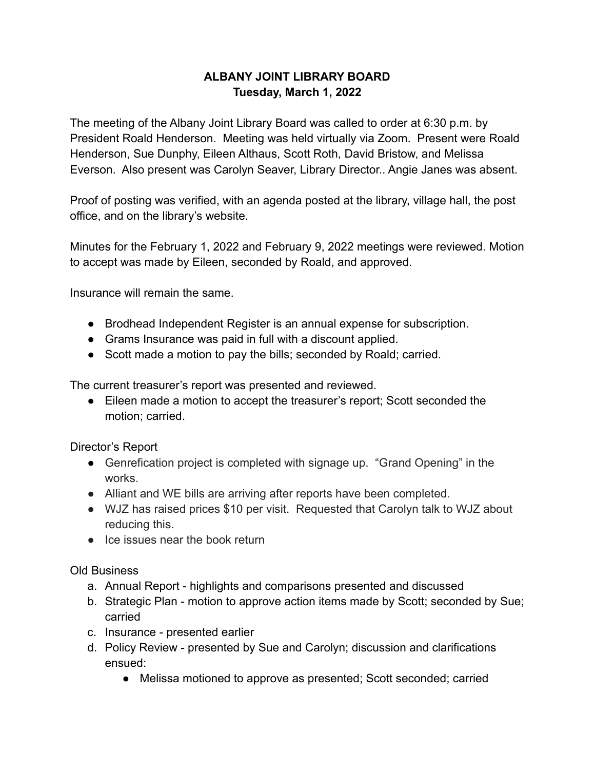## **ALBANY JOINT LIBRARY BOARD Tuesday, March 1, 2022**

The meeting of the Albany Joint Library Board was called to order at 6:30 p.m. by President Roald Henderson. Meeting was held virtually via Zoom. Present were Roald Henderson, Sue Dunphy, Eileen Althaus, Scott Roth, David Bristow, and Melissa Everson. Also present was Carolyn Seaver, Library Director.. Angie Janes was absent.

Proof of posting was verified, with an agenda posted at the library, village hall, the post office, and on the library's website.

Minutes for the February 1, 2022 and February 9, 2022 meetings were reviewed. Motion to accept was made by Eileen, seconded by Roald, and approved.

Insurance will remain the same.

- Brodhead Independent Register is an annual expense for subscription.
- Grams Insurance was paid in full with a discount applied.
- Scott made a motion to pay the bills; seconded by Roald; carried.

The current treasurer's report was presented and reviewed.

● Eileen made a motion to accept the treasurer's report; Scott seconded the motion; carried.

Director's Report

- Genrefication project is completed with signage up. "Grand Opening" in the works.
- Alliant and WE bills are arriving after reports have been completed.
- WJZ has raised prices \$10 per visit. Requested that Carolyn talk to WJZ about reducing this.
- Ice issues near the book return

Old Business

- a. Annual Report highlights and comparisons presented and discussed
- b. Strategic Plan motion to approve action items made by Scott; seconded by Sue; carried
- c. Insurance presented earlier
- d. Policy Review presented by Sue and Carolyn; discussion and clarifications ensued:
	- Melissa motioned to approve as presented; Scott seconded; carried